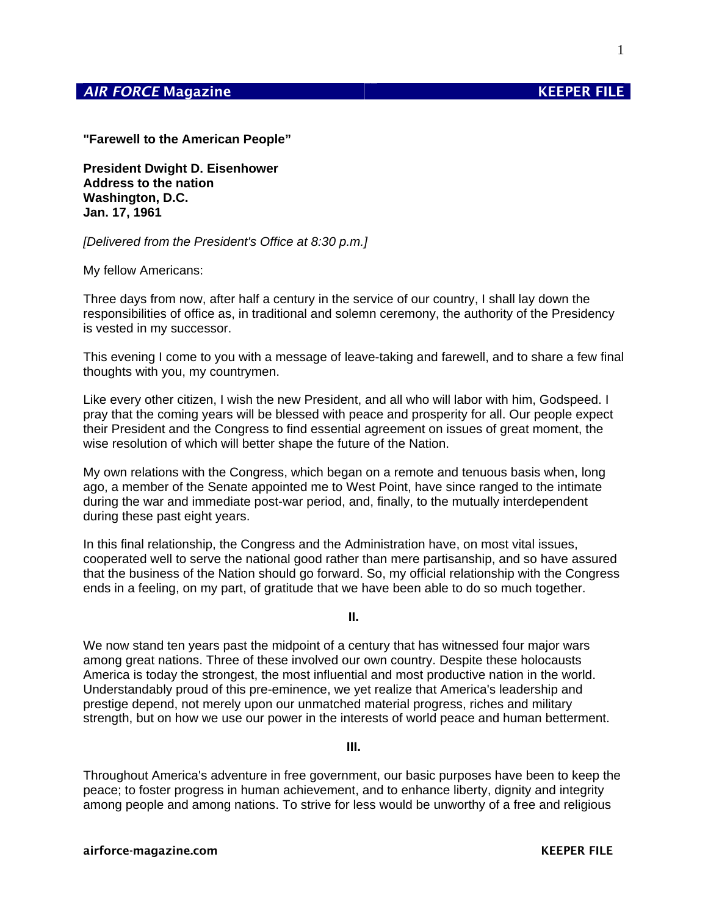## *AIR FORCE* Magazine **KEEPER FILE**

**"Farewell to the American People"** 

**President Dwight D. Eisenhower Address to the nation Washington, D.C. Jan. 17, 1961** 

*[Delivered from the President's Office at 8:30 p.m.]* 

My fellow Americans:

Three days from now, after half a century in the service of our country, I shall lay down the responsibilities of office as, in traditional and solemn ceremony, the authority of the Presidency is vested in my successor.

This evening I come to you with a message of leave-taking and farewell, and to share a few final thoughts with you, my countrymen.

Like every other citizen, I wish the new President, and all who will labor with him, Godspeed. I pray that the coming years will be blessed with peace and prosperity for all. Our people expect their President and the Congress to find essential agreement on issues of great moment, the wise resolution of which will better shape the future of the Nation.

My own relations with the Congress, which began on a remote and tenuous basis when, long ago, a member of the Senate appointed me to West Point, have since ranged to the intimate during the war and immediate post-war period, and, finally, to the mutually interdependent during these past eight years.

In this final relationship, the Congress and the Administration have, on most vital issues, cooperated well to serve the national good rather than mere partisanship, and so have assured that the business of the Nation should go forward. So, my official relationship with the Congress ends in a feeling, on my part, of gratitude that we have been able to do so much together.

**II.** 

We now stand ten years past the midpoint of a century that has witnessed four major wars among great nations. Three of these involved our own country. Despite these holocausts America is today the strongest, the most influential and most productive nation in the world. Understandably proud of this pre-eminence, we yet realize that America's leadership and prestige depend, not merely upon our unmatched material progress, riches and military strength, but on how we use our power in the interests of world peace and human betterment.

**III.** 

Throughout America's adventure in free government, our basic purposes have been to keep the peace; to foster progress in human achievement, and to enhance liberty, dignity and integrity among people and among nations. To strive for less would be unworthy of a free and religious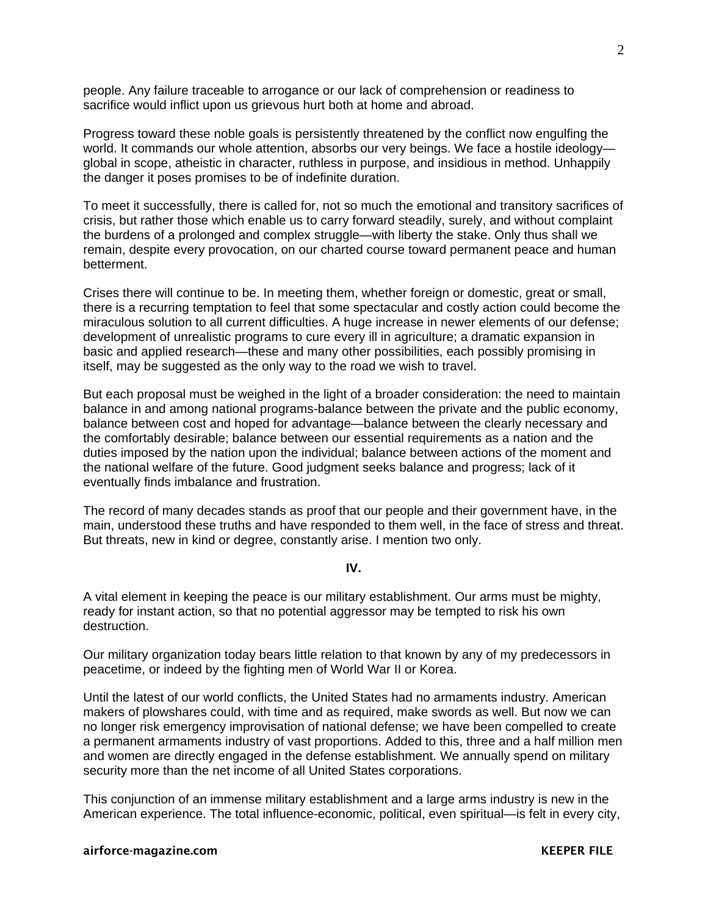people. Any failure traceable to arrogance or our lack of comprehension or readiness to sacrifice would inflict upon us grievous hurt both at home and abroad.

Progress toward these noble goals is persistently threatened by the conflict now engulfing the world. It commands our whole attention, absorbs our very beings. We face a hostile ideology global in scope, atheistic in character, ruthless in purpose, and insidious in method. Unhappily the danger it poses promises to be of indefinite duration.

To meet it successfully, there is called for, not so much the emotional and transitory sacrifices of crisis, but rather those which enable us to carry forward steadily, surely, and without complaint the burdens of a prolonged and complex struggle—with liberty the stake. Only thus shall we remain, despite every provocation, on our charted course toward permanent peace and human betterment.

Crises there will continue to be. In meeting them, whether foreign or domestic, great or small, there is a recurring temptation to feel that some spectacular and costly action could become the miraculous solution to all current difficulties. A huge increase in newer elements of our defense; development of unrealistic programs to cure every ill in agriculture; a dramatic expansion in basic and applied research—these and many other possibilities, each possibly promising in itself, may be suggested as the only way to the road we wish to travel.

But each proposal must be weighed in the light of a broader consideration: the need to maintain balance in and among national programs-balance between the private and the public economy, balance between cost and hoped for advantage—balance between the clearly necessary and the comfortably desirable; balance between our essential requirements as a nation and the duties imposed by the nation upon the individual; balance between actions of the moment and the national welfare of the future. Good judgment seeks balance and progress; lack of it eventually finds imbalance and frustration.

The record of many decades stands as proof that our people and their government have, in the main, understood these truths and have responded to them well, in the face of stress and threat. But threats, new in kind or degree, constantly arise. I mention two only.

# **IV.**

A vital element in keeping the peace is our military establishment. Our arms must be mighty, ready for instant action, so that no potential aggressor may be tempted to risk his own destruction.

Our military organization today bears little relation to that known by any of my predecessors in peacetime, or indeed by the fighting men of World War II or Korea.

Until the latest of our world conflicts, the United States had no armaments industry. American makers of plowshares could, with time and as required, make swords as well. But now we can no longer risk emergency improvisation of national defense; we have been compelled to create a permanent armaments industry of vast proportions. Added to this, three and a half million men and women are directly engaged in the defense establishment. We annually spend on military security more than the net income of all United States corporations.

This conjunction of an immense military establishment and a large arms industry is new in the American experience. The total influence-economic, political, even spiritual—is felt in every city,

## airforce-magazine.com KEEPER FILE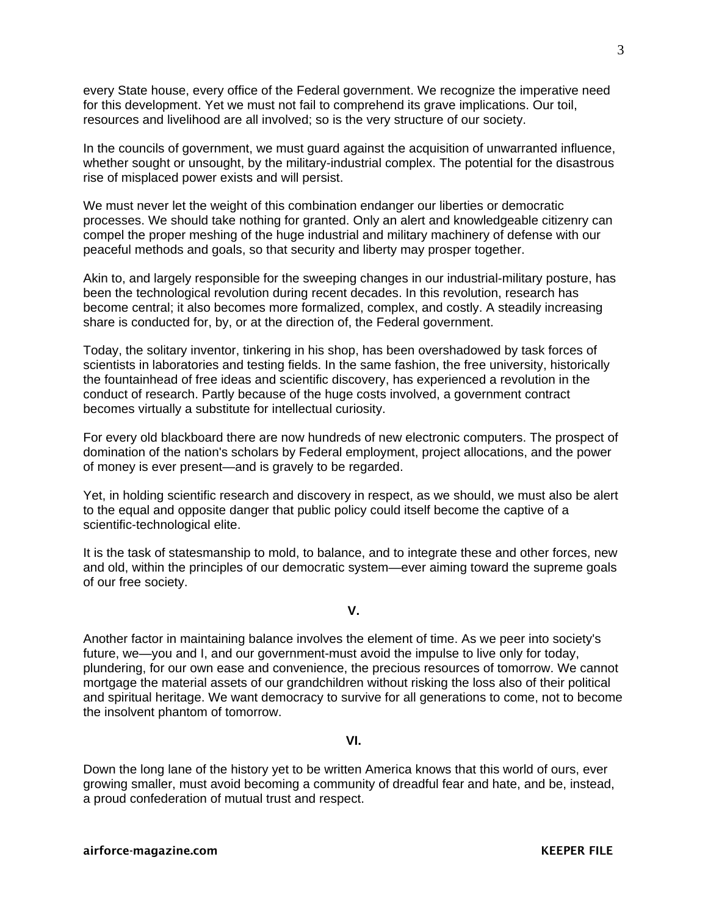every State house, every office of the Federal government. We recognize the imperative need for this development. Yet we must not fail to comprehend its grave implications. Our toil, resources and livelihood are all involved; so is the very structure of our society.

In the councils of government, we must guard against the acquisition of unwarranted influence, whether sought or unsought, by the military-industrial complex. The potential for the disastrous rise of misplaced power exists and will persist.

We must never let the weight of this combination endanger our liberties or democratic processes. We should take nothing for granted. Only an alert and knowledgeable citizenry can compel the proper meshing of the huge industrial and military machinery of defense with our peaceful methods and goals, so that security and liberty may prosper together.

Akin to, and largely responsible for the sweeping changes in our industrial-military posture, has been the technological revolution during recent decades. In this revolution, research has become central; it also becomes more formalized, complex, and costly. A steadily increasing share is conducted for, by, or at the direction of, the Federal government.

Today, the solitary inventor, tinkering in his shop, has been overshadowed by task forces of scientists in laboratories and testing fields. In the same fashion, the free university, historically the fountainhead of free ideas and scientific discovery, has experienced a revolution in the conduct of research. Partly because of the huge costs involved, a government contract becomes virtually a substitute for intellectual curiosity.

For every old blackboard there are now hundreds of new electronic computers. The prospect of domination of the nation's scholars by Federal employment, project allocations, and the power of money is ever present—and is gravely to be regarded.

Yet, in holding scientific research and discovery in respect, as we should, we must also be alert to the equal and opposite danger that public policy could itself become the captive of a scientific-technological elite.

It is the task of statesmanship to mold, to balance, and to integrate these and other forces, new and old, within the principles of our democratic system—ever aiming toward the supreme goals of our free society.

### **V.**

Another factor in maintaining balance involves the element of time. As we peer into society's future, we—you and I, and our government-must avoid the impulse to live only for today, plundering, for our own ease and convenience, the precious resources of tomorrow. We cannot mortgage the material assets of our grandchildren without risking the loss also of their political and spiritual heritage. We want democracy to survive for all generations to come, not to become the insolvent phantom of tomorrow.

# **VI.**

Down the long lane of the history yet to be written America knows that this world of ours, ever growing smaller, must avoid becoming a community of dreadful fear and hate, and be, instead, a proud confederation of mutual trust and respect.